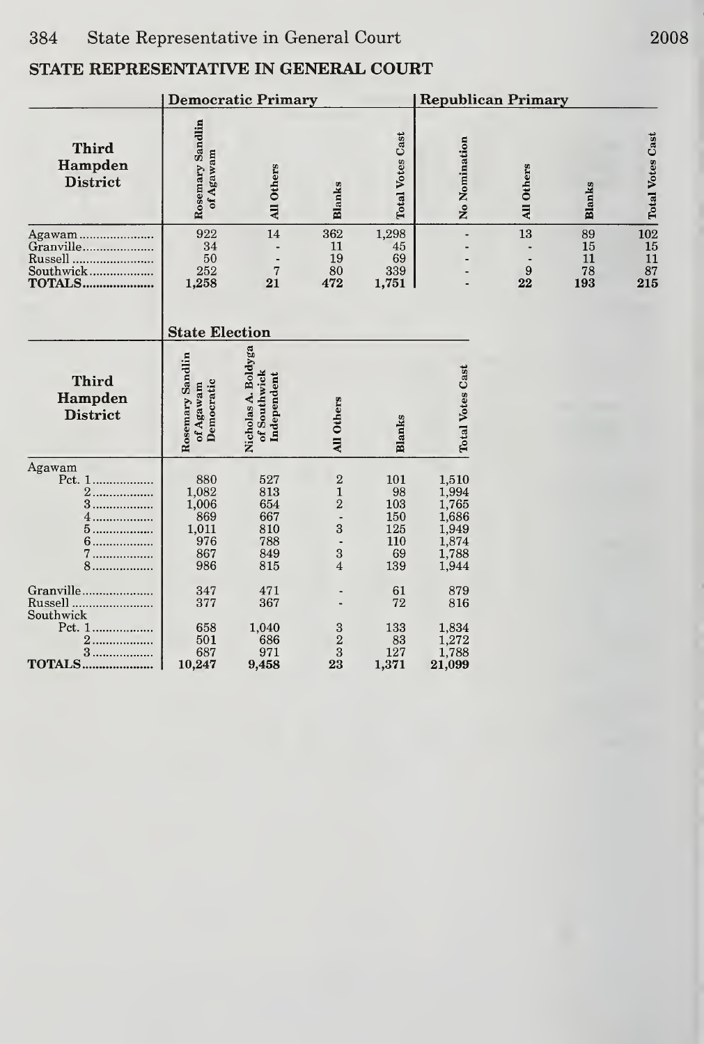|                                                       |                                                            | <b>Democratic Primary</b>                            |                                                                      |                                                    | <b>Republican Primary</b>                                            |                              |                             |                                         |  |
|-------------------------------------------------------|------------------------------------------------------------|------------------------------------------------------|----------------------------------------------------------------------|----------------------------------------------------|----------------------------------------------------------------------|------------------------------|-----------------------------|-----------------------------------------|--|
| <b>Third</b><br>Hampden<br><b>District</b>            | Rosemary Sandlin<br>of Agawam                              | All Others                                           | Blanks                                                               | <b>Total Votes Cast</b>                            | No Nomination                                                        | All Others                   | <b>Blanks</b>               | Votes Cast<br>T <sub>ot</sub>           |  |
| Agawam<br>Granville<br>Russell                        | 922<br>34<br>50<br>252<br>1,258                            | 14<br>$\overline{7}$<br>21                           | 362<br>11<br>19<br>80<br>472                                         | 1,298<br>45<br>69<br>339<br>1,751                  |                                                                      | 13<br>$\boldsymbol{9}$<br>22 | 89<br>15<br>11<br>78<br>193 | $\frac{10}{15}$<br>$\frac{1}{8}$<br>215 |  |
|                                                       | <b>State Election</b>                                      |                                                      |                                                                      |                                                    |                                                                      |                              |                             |                                         |  |
| <b>Third</b><br>Hampden<br><b>District</b>            | Sandlin<br>Democratic<br>of Agawam<br>Rosemary             | Nicholas A. Boldyga<br>of Southwick<br>Independent   | All Others                                                           | Blanks                                             | <b>Total Votes Cast</b>                                              |                              |                             |                                         |  |
| Agawam<br>Pct. 1<br>2.<br>3<br>.<br>5<br>6<br>7<br>8. | 880<br>1,082<br>1,006<br>869<br>1,011<br>976<br>867<br>986 | 527<br>813<br>654<br>667<br>810<br>788<br>849<br>815 | $\sqrt{2}$<br>$\mathbf{1}$<br>$\sqrt{2}$<br>3<br>3<br>$\overline{4}$ | 101<br>98<br>103<br>150<br>125<br>110<br>69<br>139 | 1,510<br>1,994<br>1,765<br>1,686<br>1,949<br>1,874<br>1,788<br>1,944 |                              |                             |                                         |  |
| Granville<br>Russell.<br>Southwick                    | 347<br>377                                                 | 471<br>367                                           |                                                                      | 61<br>72                                           | 879<br>816                                                           |                              |                             |                                         |  |
| Pct. 1<br>2.<br>$3$<br><b>TOTALS</b>                  | 658<br>501<br>687<br>10,247                                | 1,040<br>686<br>971<br>9,458                         | $\sqrt{3}$<br>$\boldsymbol{2}$<br>3<br>23                            | 133<br>83<br>127<br>1,371                          | 1,834<br>1,272<br>1,788<br>21,099                                    |                              |                             |                                         |  |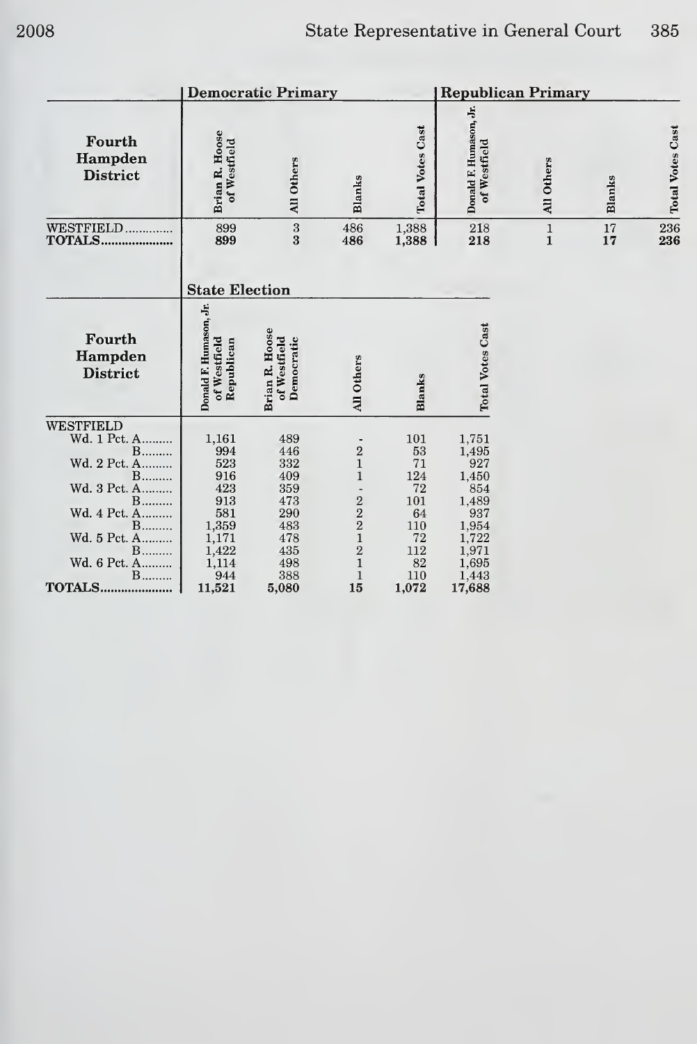|                                                                                                                                                                                            | <b>Democratic Primary</b>                                                                            |                                                                                           |                                                                                                                        |                                                                                         |                                                                                                              |                               | <b>Republican Primary</b> |                         |  |  |  |
|--------------------------------------------------------------------------------------------------------------------------------------------------------------------------------------------|------------------------------------------------------------------------------------------------------|-------------------------------------------------------------------------------------------|------------------------------------------------------------------------------------------------------------------------|-----------------------------------------------------------------------------------------|--------------------------------------------------------------------------------------------------------------|-------------------------------|---------------------------|-------------------------|--|--|--|
| Fourth<br>Hampden<br><b>District</b>                                                                                                                                                       | <b>Brian R. Hoose</b><br>of Westfield                                                                | All Others                                                                                | Blanks                                                                                                                 | <b>Total Votes Cast</b>                                                                 | Donald F. Humason, Jr.<br>of Westfield                                                                       | All Others                    | <b>Blanks</b>             | <b>Total Votes Cast</b> |  |  |  |
| WESTFIELD<br><b>TOTALS</b>                                                                                                                                                                 | 899<br>899                                                                                           | $\frac{3}{3}$                                                                             | 486<br>486                                                                                                             | 1,388<br>1,388                                                                          | 218<br>218                                                                                                   | $\mathbf 1$<br>$\overline{1}$ | 17<br>17                  | 236<br>236              |  |  |  |
|                                                                                                                                                                                            | <b>State Election</b>                                                                                |                                                                                           |                                                                                                                        |                                                                                         |                                                                                                              |                               |                           |                         |  |  |  |
| Fourth<br>Hampden<br><b>District</b>                                                                                                                                                       | Donald F. Humason, Jr.<br>of Westfield<br>Republican                                                 | Brian R. Hoose<br>of Westfield<br>Democratic                                              | <b>All Others</b>                                                                                                      | Blanks                                                                                  | <b>Total Votes Cast</b>                                                                                      |                               |                           |                         |  |  |  |
| <b>WESTFIELD</b><br>Wd. 1 Pct. A<br>$B$<br>Wd. 2 Pct. A<br><b>B</b><br>Wd. 3 Pct. A<br>$B$<br>Wd. 4 Pct. A<br><b>B</b><br>Wd. 5 Pct. A<br>$B$<br>Wd. 6 Pct. A<br><b>B</b><br><b>TOTALS</b> | 1,161<br>994<br>523<br>916<br>423<br>913<br>581<br>1,359<br>1,171<br>1,422<br>1,114<br>944<br>11,521 | 489<br>446<br>332<br>409<br>359<br>473<br>290<br>483<br>478<br>435<br>498<br>388<br>5,080 | $\frac{2}{1}$<br>$\mathbf{1}$<br>$\frac{2}{2}$<br>$\mathbf{1}$<br>$\overline{2}$<br>$\mathbf{1}$<br>$\mathbf{1}$<br>15 | 101<br>53<br>71<br>124<br>72<br>101<br>64<br>110<br>72<br>112<br>$82\,$<br>110<br>1,072 | 1,751<br>1,495<br>927<br>1,450<br>854<br>1,489<br>937<br>1,954<br>1,722<br>1,971<br>1,695<br>1,443<br>17,688 |                               |                           |                         |  |  |  |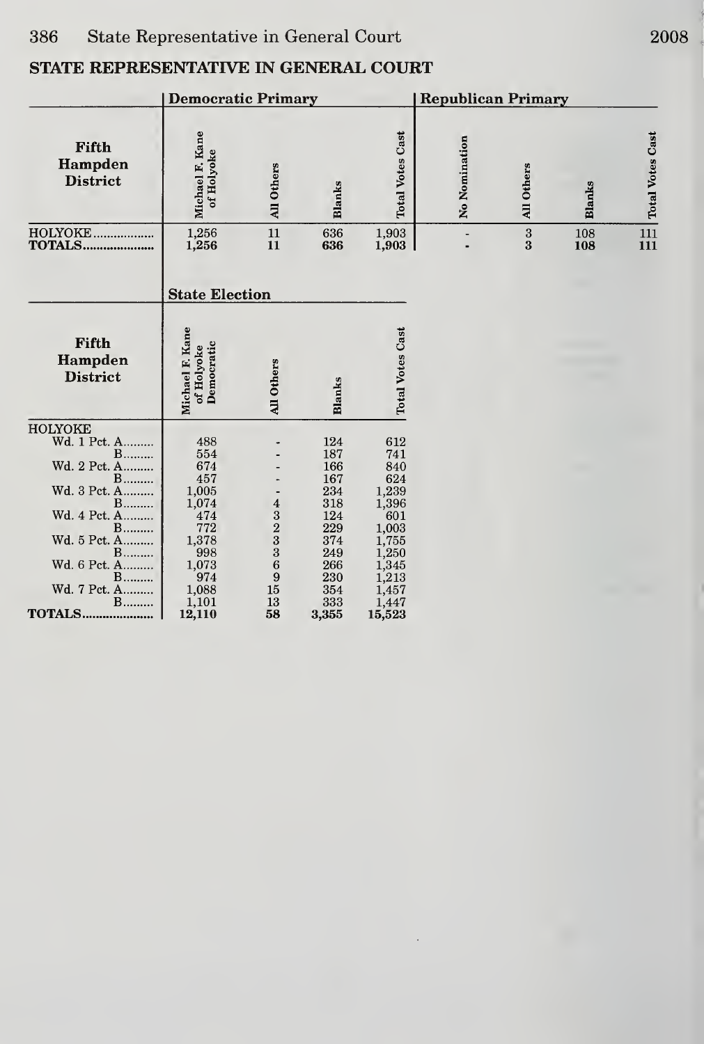|                                                                                                                                                                                         | <b>Republican Primary</b>                                                                                                        |                                                                              |                                                                                         |                                                                                                                                              |               |                                     |               |                         |
|-----------------------------------------------------------------------------------------------------------------------------------------------------------------------------------------|----------------------------------------------------------------------------------------------------------------------------------|------------------------------------------------------------------------------|-----------------------------------------------------------------------------------------|----------------------------------------------------------------------------------------------------------------------------------------------|---------------|-------------------------------------|---------------|-------------------------|
| Fifth<br>Hampden<br><b>District</b>                                                                                                                                                     | Michael F. Kane<br>of Holyoke                                                                                                    | <b>All Others</b>                                                            | <b>Blanks</b>                                                                           | <b>Total Votes Cast</b>                                                                                                                      | No Nomination | All Others                          | <b>Blanks</b> | <b>Total Votes Cast</b> |
| HOLYOKE<br><b>TOTALS</b>                                                                                                                                                                | 1,256<br>1,256                                                                                                                   | 11<br>11                                                                     | 636<br>636                                                                              | 1,903<br>1,903                                                                                                                               |               | $\bf{3}$<br>$\overline{\mathbf{3}}$ | 108<br>108    | 111<br>111              |
|                                                                                                                                                                                         | <b>State Election</b>                                                                                                            |                                                                              |                                                                                         |                                                                                                                                              |               |                                     |               |                         |
| Fifth<br>Hampden<br><b>District</b>                                                                                                                                                     | Michael F. Kane<br>Democratic<br>of Holyoke                                                                                      | All Others                                                                   | Blanks                                                                                  | <b>Total Votes Cast</b>                                                                                                                      |               |                                     |               |                         |
| <b>HOLYOKE</b><br>Wd. 1 Pct. A<br>$B$<br>Wd. 2 Pct. A<br>$B$<br>Wd. 3 Pct. A<br><b>B</b><br>Wd. 4 Pct. A<br><b>B</b><br>Wd. 5 Pct. A<br>$B$<br>Wd. 6 Pct. A<br><b>B</b><br>Wd. 7 Pct. A | 488<br>554<br>674<br>457<br>1,005<br>1,074<br>474<br>772<br>1,378<br>998<br>$\begin{array}{c} 1,073 \\ 974 \end{array}$<br>1,088 | $\begin{smallmatrix}4\3\2\3\3\end{smallmatrix}$<br>$\overline{6}$<br>9<br>15 | 124<br>187<br>166<br>167<br>234<br>318<br>124<br>229<br>374<br>249<br>266<br>230<br>354 | 612<br>741<br>840<br>624<br>$1,239$<br>$1,396$<br>$601$<br>$\begin{array}{c} 1,003 \\ 1,755 \end{array}$<br>1,250<br>1,345<br>1,213<br>1,457 |               |                                     |               |                         |
| $B$<br><b>TOTALS</b>                                                                                                                                                                    | 1,101<br>12,110                                                                                                                  | 13<br>58                                                                     | 333<br>3,355                                                                            | 1,447<br>15,523                                                                                                                              |               |                                     |               |                         |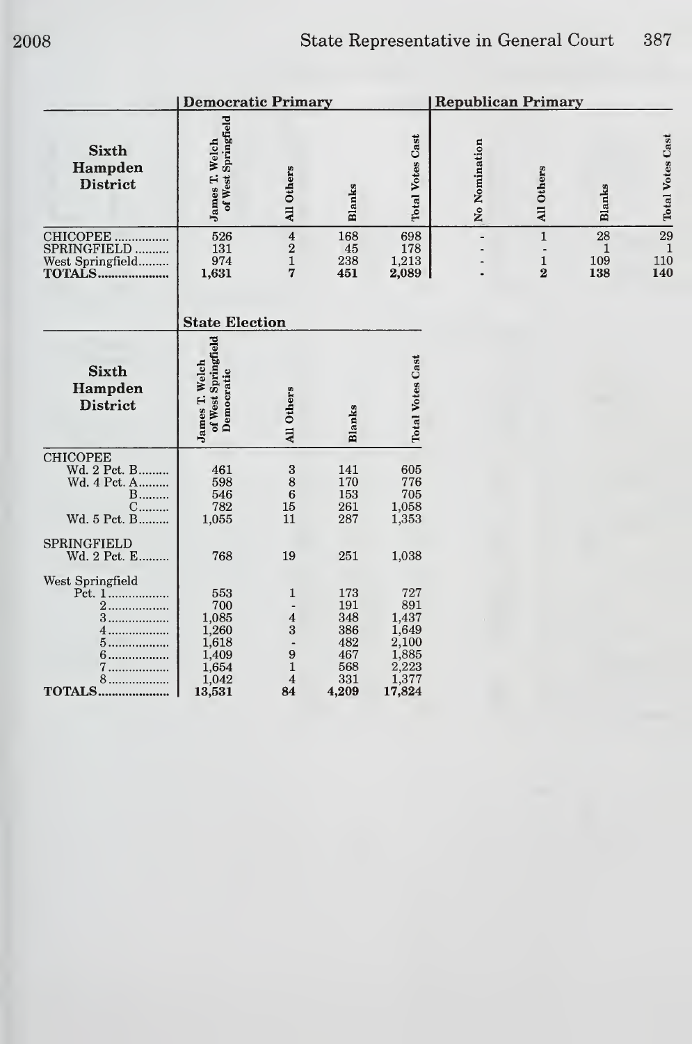|                                                                                  | <b>Democratic Primary</b>                                                  |                                                                                               |                                                               |                                                                            | <b>Republican Primary</b> |                                              |                       |                  |
|----------------------------------------------------------------------------------|----------------------------------------------------------------------------|-----------------------------------------------------------------------------------------------|---------------------------------------------------------------|----------------------------------------------------------------------------|---------------------------|----------------------------------------------|-----------------------|------------------|
| <b>Sixth</b><br>Hampden<br><b>District</b>                                       | of West Springfield<br>James T. Welch                                      | All Others                                                                                    | Blanks                                                        | <b>Total Votes Cast</b>                                                    | No Nomination             | All Others                                   | <b>Blanks</b>         | Total Votes Cast |
| CHICOPEE<br>SPRINGFIELD<br>West Springfield<br><b>TOTALS</b>                     | 526<br>131<br>974<br>1,631                                                 | $\bf{4}$<br>$\sqrt{2}$<br>$\mathbf{1}$<br>$\overline{7}$                                      | 168<br>45<br>238<br>451                                       | 698<br>178<br>1,213<br>2,089                                               |                           | $\mathbf 1$<br>$\mathbf 1$<br>$\overline{2}$ | 28<br>1<br>109<br>138 | 29<br>11(<br>14  |
|                                                                                  | <b>State Election</b>                                                      |                                                                                               |                                                               |                                                                            |                           |                                              |                       |                  |
| <b>Sixth</b><br>Hampden<br><b>District</b>                                       | of West Springfield<br>James T. Welch<br>Democratic                        | All Others                                                                                    | <b>Blanks</b>                                                 | <b>Total Votes Cast</b>                                                    |                           |                                              |                       |                  |
| <b>CHICOPEE</b><br>Wd. 2 Pct. B<br>Wd. 4 Pct. A<br>$B$<br>$C$<br>Wd. 5 Pct. B    | 461<br>598<br>546<br>782<br>1,055                                          | $\sqrt{3}$<br>8<br>$\overline{6}$<br>15<br>11                                                 | 141<br>170<br>153<br>261<br>287                               | 605<br>776<br>705<br>1,058<br>1,353                                        |                           |                                              |                       |                  |
| SPRINGFIELD<br>Wd. 2 Pct. E                                                      | 768                                                                        | 19                                                                                            | 251                                                           | 1,038                                                                      |                           |                                              |                       |                  |
| West Springfield<br>Pct. 1<br>2<br>3<br>4<br>5<br>6.<br>7<br>8.<br><b>TOTALS</b> | 553<br>700<br>1,085<br>1,260<br>1,618<br>1,409<br>1,654<br>1,042<br>13,531 | 1<br>$\overline{a}$<br>$\boldsymbol{4}$<br>3<br>$\boldsymbol{9}$<br>1<br>$\overline{4}$<br>84 | 173<br>191<br>348<br>386<br>482<br>467<br>568<br>331<br>4,209 | 727<br>891<br>1,437<br>1,649<br>2,100<br>1,885<br>2,223<br>1,377<br>17,824 |                           |                                              |                       |                  |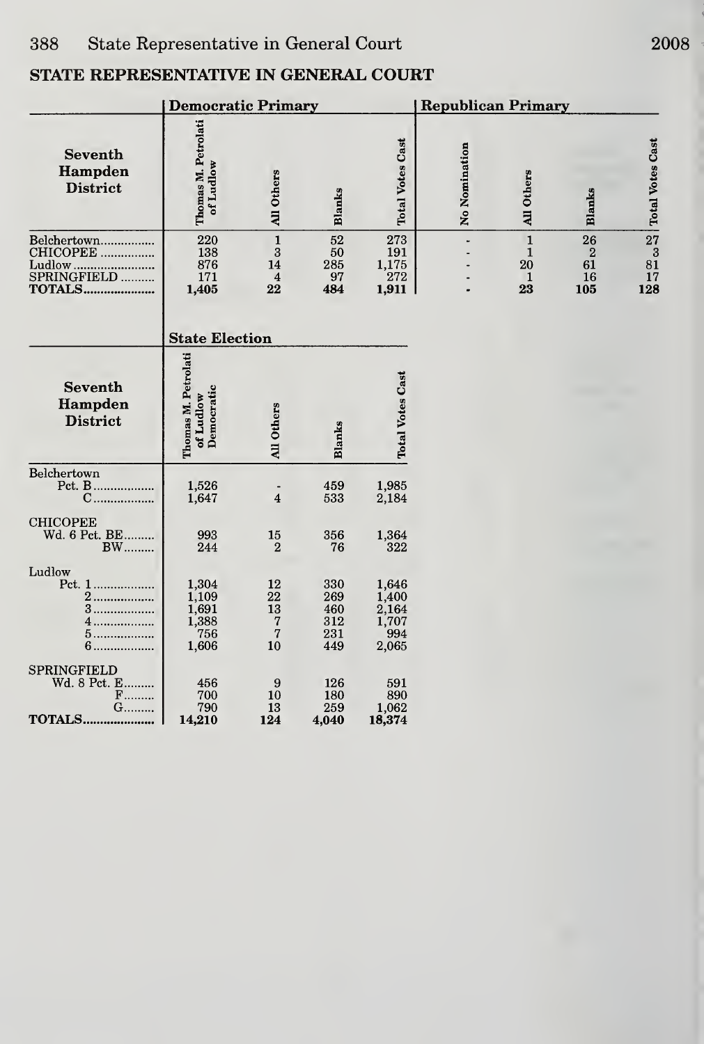|                                                          | <b>Democratic Primary</b>                        |                                                      |                                        |                                                  | <b>Republican Primary</b> |                                                          |                                                  |                         |
|----------------------------------------------------------|--------------------------------------------------|------------------------------------------------------|----------------------------------------|--------------------------------------------------|---------------------------|----------------------------------------------------------|--------------------------------------------------|-------------------------|
| <b>Seventh</b><br>Hampden<br><b>District</b>             | Thomas M. Petrolati<br>of Ludlow                 | <b>All Others</b>                                    | <b>Blanks</b>                          | <b>Total Votes Cast</b>                          | No Nomination             | All Others                                               | Blanks                                           | <b>Total Votes Cast</b> |
| Ludlow<br>SPRINGFIELD<br><b>TOTALS</b>                   | 220<br>138<br>876<br>171<br>1,405                | $\mathbf 1$<br>3<br>14<br>$\overline{4}$<br>22       | 52<br>50<br>285<br>97<br>484           | ${\bf 273}$<br>191<br>1,175<br>272<br>1,911      | i.                        | $\mathbf{1}$<br>$\mathbf{1}$<br>20<br>$\mathbf{1}$<br>23 | 26<br>$\boldsymbol{2}$<br>61<br>16<br>105<br>128 | 27<br>3<br>81<br>17     |
|                                                          | <b>State Election</b>                            |                                                      |                                        |                                                  |                           |                                                          |                                                  |                         |
| <b>Seventh</b><br>Hampden<br><b>District</b>             | Thomas M. Petrolati<br>Democratic<br>of Ludlow   | All Others                                           | Blanks                                 | <b>Total Votes Cast</b>                          |                           |                                                          |                                                  |                         |
| Belchertown<br>Pct. B<br>C                               | 1,526<br>1,647                                   | $\qquad \qquad \blacksquare$<br>$\overline{4}$       | 459<br>533                             | 1,985<br>2,184                                   |                           |                                                          |                                                  |                         |
| <b>CHICOPEE</b><br>Wd. 6 Pct. BE<br><b>BW</b>            | 993<br>244                                       | 15<br>$\overline{2}$                                 | 356<br>76                              | 1,364<br>322                                     |                           |                                                          |                                                  |                         |
| Ludlow<br>Pct. 1<br>2.<br>3<br>.<br>5.<br>$6$            | 1,304<br>1,109<br>1,691<br>1,388<br>756<br>1,606 | 12<br>22<br>13<br>$\sqrt{7}$<br>$\overline{7}$<br>10 | 330<br>269<br>460<br>312<br>231<br>449 | 1,646<br>1,400<br>2,164<br>1,707<br>994<br>2,065 |                           |                                                          |                                                  |                         |
| SPRINGFIELD<br>Wd. 8 Pct. E<br>$F$<br>G<br><b>TOTALS</b> | 456<br>700<br>790<br>14,210                      | 9<br>10<br>13<br>124                                 | 126<br>180<br>259<br>4,040             | 591<br>890<br>1,062<br>18,374                    |                           |                                                          |                                                  |                         |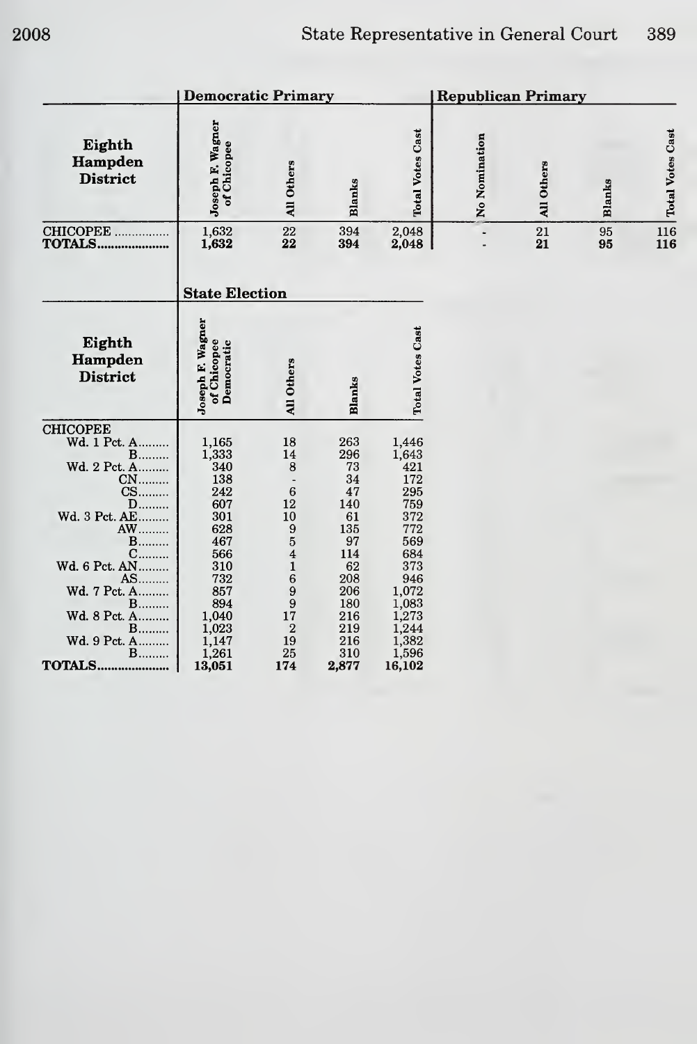|                                                                                                                                                                                                                                                     | <b>Republican Primary</b>                                                                                                                        |                                                                                                                                                                  |                                                                                                                               |                                                                                                                                                              |               |            |          |                         |
|-----------------------------------------------------------------------------------------------------------------------------------------------------------------------------------------------------------------------------------------------------|--------------------------------------------------------------------------------------------------------------------------------------------------|------------------------------------------------------------------------------------------------------------------------------------------------------------------|-------------------------------------------------------------------------------------------------------------------------------|--------------------------------------------------------------------------------------------------------------------------------------------------------------|---------------|------------|----------|-------------------------|
| Eighth<br>Hampden<br><b>District</b>                                                                                                                                                                                                                | Joseph F. Wagner<br>of Chicopee                                                                                                                  | All Others                                                                                                                                                       | Blanks                                                                                                                        | <b>Total Votes Cast</b>                                                                                                                                      | No Nomination | All Others | Blanks   | <b>Total Votes Cast</b> |
| CHICOPEE<br>TOTALS                                                                                                                                                                                                                                  | $\frac{1,632}{1,632}$                                                                                                                            | 22<br>22                                                                                                                                                         | 394<br>394                                                                                                                    | 2,048<br>2,048                                                                                                                                               |               | 21<br>21   | 95<br>95 | $\frac{116}{116}$       |
|                                                                                                                                                                                                                                                     | <b>State Election</b>                                                                                                                            |                                                                                                                                                                  |                                                                                                                               |                                                                                                                                                              |               |            |          |                         |
| Eighth<br>Hampden<br><b>District</b>                                                                                                                                                                                                                | Joseph F. Wagner<br>of Chicopee<br>Democratic                                                                                                    | All Others                                                                                                                                                       | Blanks                                                                                                                        | <b>Total Votes Cast</b>                                                                                                                                      |               |            |          |                         |
| <b>CHICOPEE</b><br>Wd. 1 Pct. A<br>$B$<br>Wd. 2 Pct. A<br>CN<br>CS<br>D<br>Wd. 3 Pct. AE<br><b>AW</b><br>$B$<br>$C$<br>Wd. 6 Pct. AN<br>AS<br>Wd. 7 Pct. A<br><b>B</b><br>Wd. 8 Pct. A<br><b>B</b><br>Wd. 9 Pct. A<br>$\mathbf{B}$<br><b>TOTALS</b> | 1,165<br>1,333<br>340<br>138<br>242<br>607<br>301<br>628<br>467<br>566<br>310<br>732<br>857<br>894<br>1,040<br>1,023<br>1,147<br>1,261<br>13,051 | 18<br>14<br>8<br>6<br>12<br>10<br>9<br>$\overline{5}$<br>$\overline{4}$<br>$\mathbf{1}$<br>6<br>9<br>$\boldsymbol{9}$<br>17<br>$\overline{2}$<br>19<br>25<br>174 | 263<br>296<br>73<br>34<br>47<br>140<br>61<br>135<br>97<br>114<br>62<br>208<br>206<br>180<br>216<br>219<br>216<br>310<br>2,877 | 1,446<br>1,643<br>421<br>172<br>295<br>759<br>372<br>772<br>569<br>684<br>373<br>946<br>1,072<br>$1,083$<br>$1,273$<br>$1,244$<br>$1,382$<br>1,596<br>16,102 |               |            |          |                         |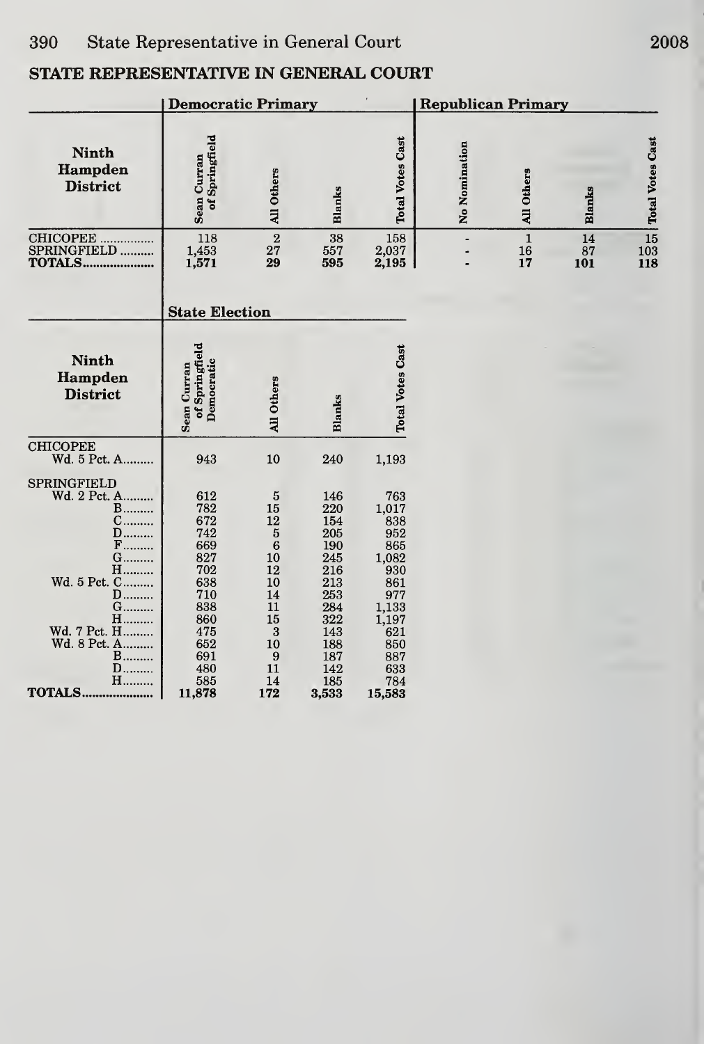|                                                                                                                                                                                                                        | <b>Democratic Primary</b>                                                                                              |                                                                                                                                             |                                                                                                                       |                                                                                                                                       | <b>Republican Primary</b> |                         |                 |                         |  |
|------------------------------------------------------------------------------------------------------------------------------------------------------------------------------------------------------------------------|------------------------------------------------------------------------------------------------------------------------|---------------------------------------------------------------------------------------------------------------------------------------------|-----------------------------------------------------------------------------------------------------------------------|---------------------------------------------------------------------------------------------------------------------------------------|---------------------------|-------------------------|-----------------|-------------------------|--|
| <b>Ninth</b><br>Hampden<br><b>District</b>                                                                                                                                                                             | of Springfield<br>Sean Curran                                                                                          | All Others                                                                                                                                  | <b>Blanks</b>                                                                                                         | <b>Total Votes Cast</b>                                                                                                               | No Nomination             | All Others              | <b>Blanks</b>   | <b>Total Votes Cast</b> |  |
| CHICOPEE<br>SPRINGFIELD<br>TOTALS                                                                                                                                                                                      | 118<br>1,453<br>1,571                                                                                                  | $\overline{2}$<br>27<br>29                                                                                                                  | 38<br>557<br>595                                                                                                      | 158<br>2,037<br>2,195                                                                                                                 |                           | $\mathbf 1$<br>16<br>17 | 14<br>87<br>101 | 15<br>103<br>118        |  |
|                                                                                                                                                                                                                        | <b>State Election</b>                                                                                                  |                                                                                                                                             |                                                                                                                       |                                                                                                                                       |                           |                         |                 |                         |  |
| <b>Ninth</b><br>Hampden<br><b>District</b>                                                                                                                                                                             | of Springfield<br>Democratic<br>Sean Curran                                                                            | <b>All Others</b>                                                                                                                           | Blanks                                                                                                                | <b>Total Votes Cast</b>                                                                                                               |                           |                         |                 |                         |  |
| <b>CHICOPEE</b><br>Wd. 5 Pct. A                                                                                                                                                                                        | 943                                                                                                                    | 10                                                                                                                                          | 240                                                                                                                   | 1,193                                                                                                                                 |                           |                         |                 |                         |  |
| SPRINGFIELD<br>Wd. 2 Pct. A<br><b>B</b><br>С<br>.<br>$\mathbf{D}$<br>F<br>G………<br><b>H………</b><br>Wd. 5 Pct. C<br>D<br>.<br>G.,<br>.<br>н<br>Wd. 7 Pct. H<br>Wd. 8 Pct. A<br>B………<br>$\mathbf{D}$<br>H<br><b>TOTALS</b> | 612<br>782<br>672<br>742<br>669<br>827<br>702<br>638<br>710<br>838<br>860<br>475<br>652<br>691<br>480<br>585<br>11,878 | $\bf 5$<br>15<br>12<br>$\bf 5$<br>$\ddot{6}$<br>10<br>12<br>10<br>14<br>$\overline{11}$<br>$15\,$<br>$\bf{3}$<br>10<br>9<br>11<br>14<br>172 | 146<br>220<br>154<br>205<br>190<br>245<br>216<br>213<br>253<br>284<br>322<br>143<br>188<br>187<br>142<br>185<br>3,533 | 763<br>$\frac{1,017}{838}$<br>952<br>865<br>1,082<br>930<br>861<br>977<br>1,133<br>1,197<br>621<br>850<br>887<br>633<br>784<br>15,583 |                           |                         |                 |                         |  |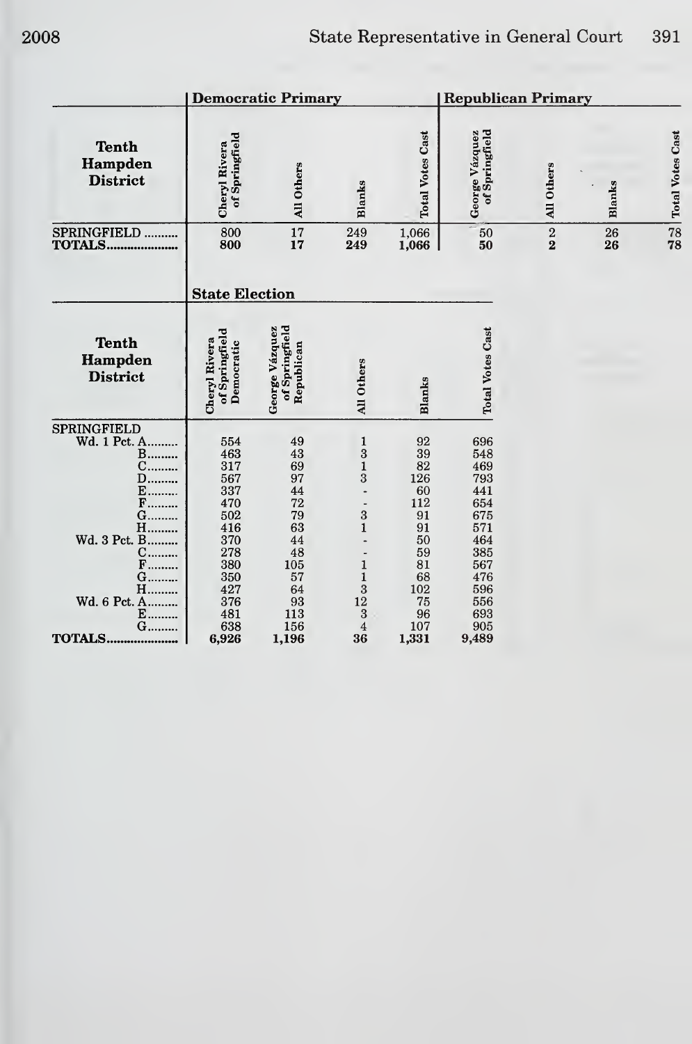|                                                                                                                                                                    |                                                                                                              | <b>Democratic Primary</b>                                                                       |                                                                                                                                                                                                   |                                                                                                  | <b>Republican Primary</b>                                                                                    |                                       |               |                         |  |
|--------------------------------------------------------------------------------------------------------------------------------------------------------------------|--------------------------------------------------------------------------------------------------------------|-------------------------------------------------------------------------------------------------|---------------------------------------------------------------------------------------------------------------------------------------------------------------------------------------------------|--------------------------------------------------------------------------------------------------|--------------------------------------------------------------------------------------------------------------|---------------------------------------|---------------|-------------------------|--|
| <b>Tenth</b><br>Hampden<br><b>District</b>                                                                                                                         | of Springfield<br>Cheryl Rivera                                                                              | All Others                                                                                      | <b>Blanks</b>                                                                                                                                                                                     | <b>Total Votes Cast</b>                                                                          | Springfield<br>George Vázquez<br>6Ë                                                                          | All Others                            | <b>Blanks</b> | <b>Total Votes Cast</b> |  |
| SPRINGFIELD<br><b>TOTALS</b>                                                                                                                                       | 800<br>800                                                                                                   | 17<br>17                                                                                        | 249<br>249                                                                                                                                                                                        | 1,066<br>1,066                                                                                   | 50<br>50                                                                                                     | $\sqrt{2}$<br>$\overline{\mathbf{2}}$ | 26<br>26      | $\frac{78}{78}$         |  |
|                                                                                                                                                                    | <b>State Election</b>                                                                                        |                                                                                                 |                                                                                                                                                                                                   |                                                                                                  |                                                                                                              |                                       |               |                         |  |
| <b>Tenth</b><br>Hampden<br><b>District</b>                                                                                                                         | of Springfield<br>Cheryl Rivera<br>Democratic                                                                | of Springfield<br>George Vázquez<br>Republican                                                  | All Others                                                                                                                                                                                        | <b>Blanks</b>                                                                                    | <b>Total Votes Cast</b>                                                                                      |                                       |               |                         |  |
| SPRINGFIELD<br>Wd. 1 Pct. A<br><b>B</b><br>$C$<br>D………<br>$\mathbf{E}$<br>F………<br>G………<br>$H$<br>Wd. 3 Pct. B<br>C………<br>F<br>G………<br>Η.<br>Wd. 6 Pct. A<br>E<br>G | 554<br>463<br>317<br>567<br>337<br>470<br>502<br>416<br>370<br>278<br>380<br>350<br>427<br>376<br>481<br>638 | 49<br>43<br>69<br>97<br>44<br>72<br>79<br>63<br>44<br>48<br>105<br>57<br>64<br>93<br>113<br>156 | 1<br>$\bf{3}$<br>$\mathbf{1}$<br>3<br>$\overline{\phantom{a}}$<br>$\overline{\phantom{a}}$<br>3<br>$\mathbf{1}$<br>$\mathbf{1}$<br>$\mathbf{1}$<br>$\bf{3}$<br>12<br>3<br>$\overline{\mathbf{4}}$ | 92<br>39<br>82<br>126<br>60<br>112<br>91<br>91<br>50<br>59<br>81<br>68<br>102<br>75<br>96<br>107 | 696<br>548<br>469<br>793<br>441<br>654<br>675<br>571<br>464<br>385<br>567<br>476<br>596<br>556<br>693<br>905 |                                       |               |                         |  |
| <b>TOTALS</b>                                                                                                                                                      | 6,926                                                                                                        | 1,196                                                                                           | 36                                                                                                                                                                                                | 1,331                                                                                            | 9,489                                                                                                        |                                       |               |                         |  |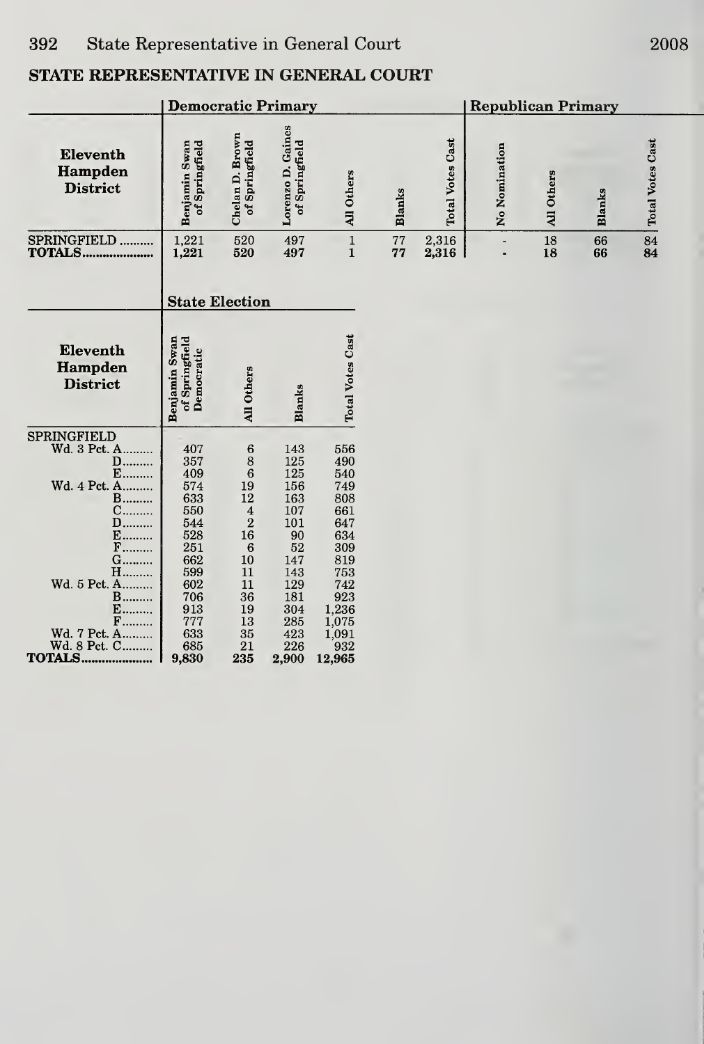|                                                                                                          | <b>Democratic Primary</b>                                          |                                                                                                              |                                                                  |                                                                    |               | <b>Republican Primary</b> |                |            |               |                         |
|----------------------------------------------------------------------------------------------------------|--------------------------------------------------------------------|--------------------------------------------------------------------------------------------------------------|------------------------------------------------------------------|--------------------------------------------------------------------|---------------|---------------------------|----------------|------------|---------------|-------------------------|
| Eleventh<br>Hampden<br><b>District</b>                                                                   | Benjamin Swan<br>of Springfield                                    | Chelan D. Brown<br>of Springfield                                                                            | Lorenzo D. Gaines<br>of Springfield                              | All Others                                                         | <b>Blanks</b> | <b>Total Votes Cast</b>   | No Nomination  | All Others | <b>Blanks</b> | <b>Total Votes Cast</b> |
| SPRINGFIELD<br>TOTALS                                                                                    | $\begin{array}{c} 1{,}221 \\ 1{,}221 \end{array}$                  | 520<br>520                                                                                                   | 497<br>497                                                       | $\frac{1}{1}$                                                      | 77<br>77      | 2,316<br>2,316            | $\blacksquare$ | 18<br>18   | 66<br>66      | $\frac{84}{84}$         |
|                                                                                                          | <b>State Election</b>                                              |                                                                                                              |                                                                  |                                                                    |               |                           |                |            |               |                         |
| Eleventh<br>Hampden<br><b>District</b>                                                                   | Benjamin Swan<br>of Springfield<br>Democratic                      | All Others                                                                                                   | Blanks                                                           | <b>Total Votes Cast</b>                                            |               |                           |                |            |               |                         |
| <b>SPRINGFIELD</b><br>Wd. 3 Pct. A<br>D<br>E<br>Wd. 4 Pct. A<br>$B$<br>C<br><b>D</b><br>E<br>$F$<br>G……… | 407<br>357<br>409<br>574<br>633<br>550<br>544<br>528<br>251<br>662 | $\frac{6}{8}$<br>19<br>$\overline{12}$<br>$\boldsymbol{4}$<br>$\overline{2}$<br>16<br>$\boldsymbol{6}$<br>10 | 143<br>125<br>125<br>156<br>163<br>107<br>101<br>90<br>52<br>147 | 556<br>490<br>540<br>749<br>808<br>661<br>647<br>634<br>309<br>819 |               |                           |                |            |               |                         |
| H<br>Wd. 5 Pct. A<br>$B$<br>$E$<br>$F$<br>Wd. 7 Pct. A<br>Wd. 8 Pct. C<br><b>TOTALS</b>                  | 599<br>602<br>706<br>913<br>777<br>633<br>685<br>9,830             | 11<br>11<br>36<br>19<br>13<br>35<br>21<br>235                                                                | 143<br>129<br>181<br>304<br>285<br>423<br>226<br>2,900           | 753<br>742<br>923<br>1,236<br>1,075<br>1,091<br>932<br>12,965      |               |                           |                |            |               |                         |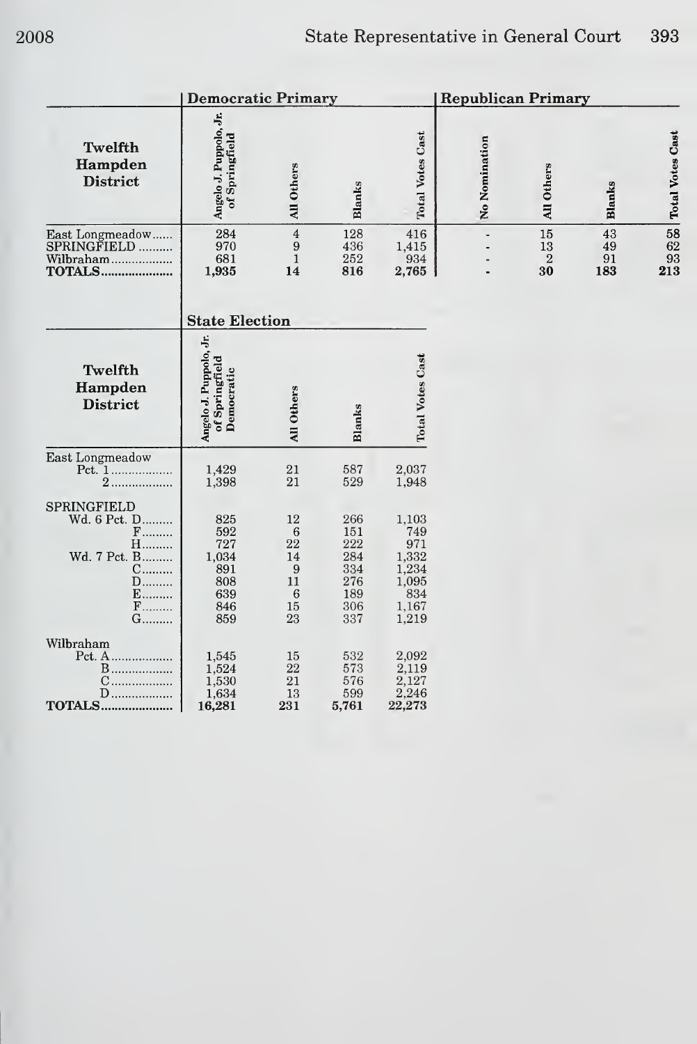|                                                                                                       | <b>Democratic Primary</b>                                     |                                                                              |                                                             |                                                                         | <b>Republican Primary</b> |                                      |                       |                                                      |
|-------------------------------------------------------------------------------------------------------|---------------------------------------------------------------|------------------------------------------------------------------------------|-------------------------------------------------------------|-------------------------------------------------------------------------|---------------------------|--------------------------------------|-----------------------|------------------------------------------------------|
| <b>Twelfth</b><br>Hampden<br><b>District</b>                                                          | Angelo J. Puppolo, Jr.<br>of Springfield                      | All Others                                                                   | Blanks                                                      | <b>Total Votes Cast</b>                                                 | No Nomination             | All Others                           | <b>Blanks</b>         | <b>Total Votes Cast</b>                              |
| East Longmeadow<br>SPRINGFIELD<br>Wilbraham<br><b>TOTALS</b>                                          | 284<br>970<br>681<br>1,935                                    | $\bf{4}$<br>$\boldsymbol{9}$<br>$\mathbf{1}$<br>14                           | 128<br>436<br>252<br>816                                    | 416<br>1,415<br>934<br>2,765                                            | $\centerdot$              | $15\,$<br>13<br>$\overline{2}$<br>30 | 43<br>49<br>91<br>183 | $\begin{array}{c} 58 \\ 62 \end{array}$<br>93<br>213 |
|                                                                                                       | <b>State Election</b>                                         |                                                                              |                                                             |                                                                         |                           |                                      |                       |                                                      |
| Twelfth<br>Hampden<br><b>District</b>                                                                 | Angelo J. Puppolo, Jr.<br>of Springfield<br>Democratic        | All Others                                                                   | <b>Blanks</b>                                               | <b>Total Votes Cast</b>                                                 |                           |                                      |                       |                                                      |
| East Longmeadow<br>2.                                                                                 | 1,429<br>1,398                                                | 21<br>21                                                                     | 587<br>529                                                  | 2,037<br>1,948                                                          |                           |                                      |                       |                                                      |
| SPRINGFIELD<br>Wd. 6 Pct. D<br>$F$<br><b>H</b><br>Wd. 7 Pct. B<br>C<br>D<br>E<br>$\mathbf{F}$<br>G……… | 825<br>592<br>727<br>1,034<br>891<br>808<br>639<br>846<br>859 | 12<br>6<br>22<br>14<br>$\boldsymbol{9}$<br>11<br>$6\phantom{1}6$<br>15<br>23 | 266<br>151<br>222<br>284<br>334<br>276<br>189<br>306<br>337 | 1,103<br>749<br>971<br>1,332<br>1,234<br>1,095<br>834<br>1,167<br>1,219 |                           |                                      |                       |                                                      |
| Wilbraham<br>Pct. A<br><b>B</b><br>$C$<br>$D$<br><b>TOTALS</b>                                        | 1,545<br>1,524<br>1,530<br>1,634<br>16,281                    | 15<br>$22\,$<br>21<br>13<br>231                                              | 532<br>573<br>576<br>599<br>5,761                           | 2,092<br>2,119<br>2,127<br>2,246<br>22,273                              |                           |                                      |                       |                                                      |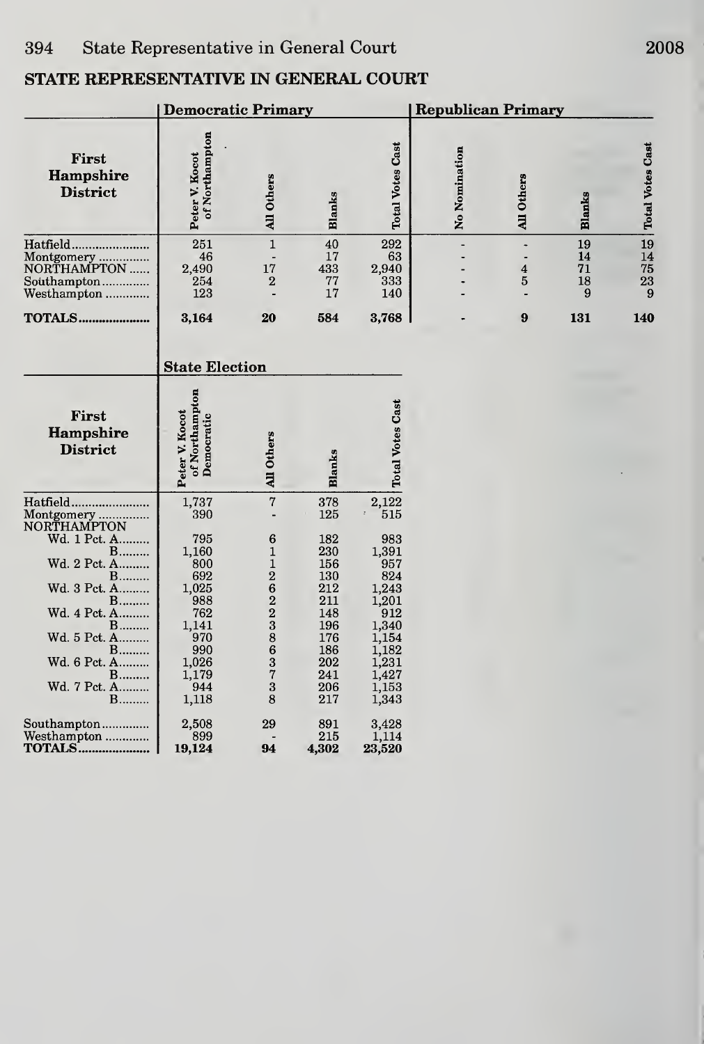|                                                                                                                                                                                                      | <b>Democratic Primary</b>                                                                                                  |                                                                                                                                              |                                                                                                              |                                                                                                                                    | <b>Republican Primary</b> |                                               |                           |                           |  |
|------------------------------------------------------------------------------------------------------------------------------------------------------------------------------------------------------|----------------------------------------------------------------------------------------------------------------------------|----------------------------------------------------------------------------------------------------------------------------------------------|--------------------------------------------------------------------------------------------------------------|------------------------------------------------------------------------------------------------------------------------------------|---------------------------|-----------------------------------------------|---------------------------|---------------------------|--|
| First<br>Hampshire<br><b>District</b>                                                                                                                                                                | of Northampton<br>Peter V. Kocot                                                                                           | All Others                                                                                                                                   | Blanks                                                                                                       | <b>Total Votes Cast</b>                                                                                                            | No Nomination             | All Others                                    | Blanks                    | <b>Total Votes Cast</b>   |  |
| Hatfield<br>Montgomery<br>NORTHAMPTON<br>Southampton<br>Westhampton                                                                                                                                  | 251<br>46<br>2,490<br>254<br>123                                                                                           | $\mathbf{1}$<br>17<br>$\overline{2}$                                                                                                         | 40<br>17<br>433<br>77<br>17                                                                                  | 292<br>63<br>2,940<br>333<br>140                                                                                                   |                           | $\ddot{\phantom{0}}$<br>$\boldsymbol{4}$<br>5 | 19<br>14<br>71<br>18<br>9 | 19<br>14<br>75<br>23<br>9 |  |
| <b>TOTALS</b>                                                                                                                                                                                        | 3,164                                                                                                                      | 20                                                                                                                                           | 584                                                                                                          | 3,768                                                                                                                              |                           | 9                                             | 131                       | 140                       |  |
|                                                                                                                                                                                                      | <b>State Election</b>                                                                                                      |                                                                                                                                              |                                                                                                              |                                                                                                                                    |                           |                                               |                           |                           |  |
| First<br>Hampshire<br><b>District</b>                                                                                                                                                                | of Northampton<br>Peter V. Kocot<br>Democratic                                                                             | All Others                                                                                                                                   | <b>Blanks</b>                                                                                                | <b>Total Votes Cast</b>                                                                                                            |                           |                                               |                           |                           |  |
| Hatfield<br>Montgomery<br>NORTHAMPTON<br>Wd. 1 Pct. A<br>$B$<br>Wd. 2 Pct. A<br>$B$<br>Wd. 3 Pct. A<br>$B$<br>Wd. 4 Pct. A<br>$B$<br>Wd. 5 Pct. A<br>B<br>Wd. 6 Pct. A<br>$B$<br>Wd. 7 Pct. A<br>$B$ | 1,737<br>390<br>795<br>1,160<br>800<br>692<br>1,025<br>988<br>762<br>1,141<br>970<br>990<br>1,026<br>1,179<br>944<br>1,118 | $\overline{7}$<br>$\overline{a}$<br>6<br>$\mathbf 1$<br>$\mathbf{1}$<br>$\overline{c}$<br>6223<br>8<br>$\bar{6}$<br>3<br>$\bar{7}$<br>3<br>8 | 378<br>125<br>182<br>230<br>156<br>130<br>212<br>211<br>148<br>196<br>176<br>186<br>202<br>241<br>206<br>217 | 2,122<br>515<br>983<br>1,391<br>957<br>824<br>1,243<br>1,201<br>912<br>1,340<br>1,154<br>1,182<br>1,231<br>1,427<br>1,153<br>1,343 |                           |                                               |                           |                           |  |
| Southampton<br>Westhampton<br><b>TOTALS</b>                                                                                                                                                          | 2,508<br>899<br>19,124                                                                                                     | 29<br>94                                                                                                                                     | 891<br>215<br>4,302                                                                                          | 3,428<br>1,114<br>23,520                                                                                                           |                           |                                               |                           |                           |  |

2008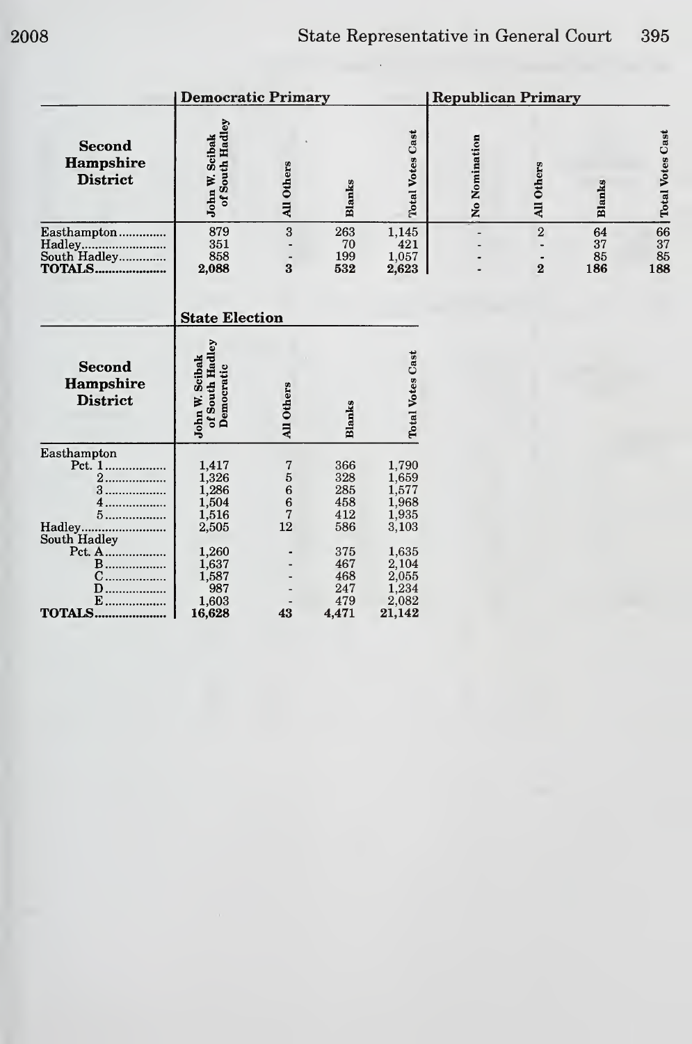|                                                              | <b>Democratic Primary</b>                           |                                                         |                                          |                                                     | <b>Republican Primary</b> |                                           |                       |                         |  |
|--------------------------------------------------------------|-----------------------------------------------------|---------------------------------------------------------|------------------------------------------|-----------------------------------------------------|---------------------------|-------------------------------------------|-----------------------|-------------------------|--|
| <b>Second</b><br>Hampshire<br><b>District</b>                | of South Hadley<br>John W. Scibak                   | All Others                                              | Blanks                                   | <b>Total Votes Cast</b>                             | No Nomination             | All Others                                | <b>Blanks</b>         | <b>Total Votes Cast</b> |  |
| Easthampton<br>Hadley<br>South Hadley<br><b>TOTALS</b>       | 879<br>351<br>858<br>2,088<br><b>State Election</b> | 3<br>$\bf{3}$                                           | 263<br>70<br>199<br>532                  | 1,145<br>421<br>1,057<br>2,623                      |                           | $\overline{2}$<br>$\overline{\mathbf{2}}$ | 64<br>37<br>85<br>186 | 66<br>37<br>85<br>188   |  |
| <b>Second</b><br>Hampshire<br><b>District</b>                | of South Hadley<br>John W. Scibak<br>Democratic     | All Others                                              | Blanks                                   | <b>Total Votes Cast</b>                             |                           |                                           |                       |                         |  |
| Easthampton<br>2.<br>3.<br>4.<br>5<br>Hadley<br>South Hadley | 1,417<br>1,326<br>1,286<br>1,504<br>1,516<br>2,505  | 7<br>$\begin{array}{c} 56 \\ 66 \\ 7 \end{array}$<br>12 | 366<br>328<br>285<br>458<br>412<br>586   | 1,790<br>1,659<br>1,577<br>1,968<br>1,935<br>3,103  |                           |                                           |                       |                         |  |
| Pct. A<br><b>B</b><br>.<br>D<br>$E$<br><b>TOTALS</b>         | 1,260<br>1,637<br>1,587<br>987<br>1,603<br>16,628   | 43                                                      | 375<br>467<br>468<br>247<br>479<br>4,471 | 1,635<br>2,104<br>2,055<br>1,234<br>2,082<br>21,142 |                           |                                           |                       |                         |  |

 $\ddot{\phantom{0}}$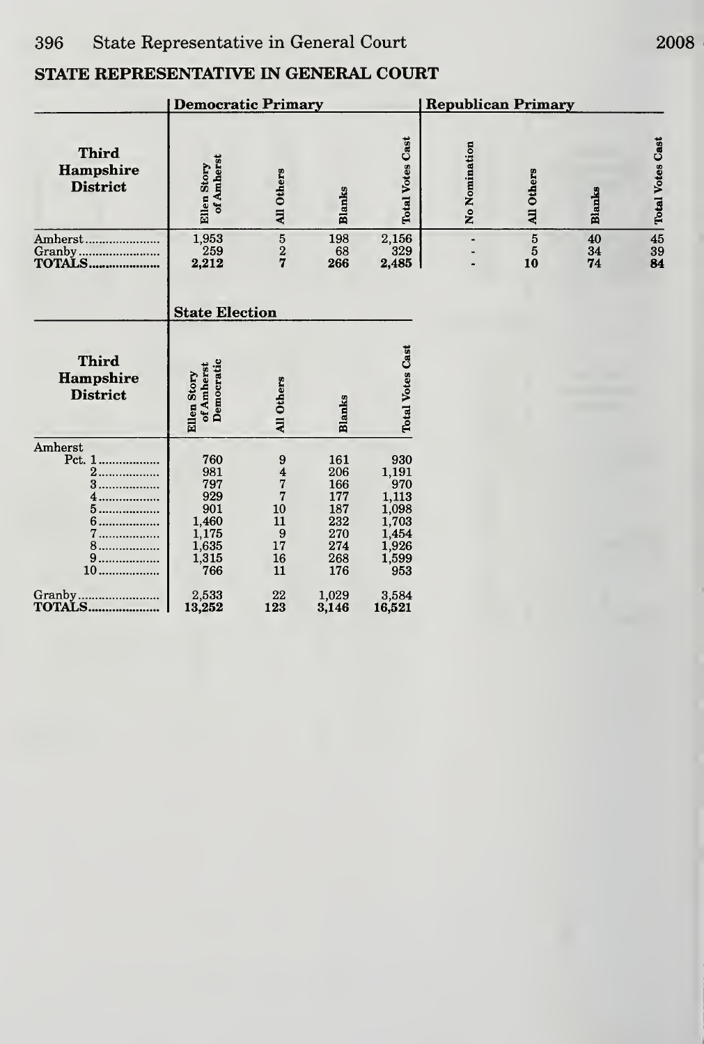|                                                                  | <b>Republican Primary</b>                                                  |                                                                                                 |                                                                    |                                                                                                                         |                              |                                        |                |                         |
|------------------------------------------------------------------|----------------------------------------------------------------------------|-------------------------------------------------------------------------------------------------|--------------------------------------------------------------------|-------------------------------------------------------------------------------------------------------------------------|------------------------------|----------------------------------------|----------------|-------------------------|
| <b>Third</b><br>Hampshire<br><b>District</b>                     | of Amherst<br>Ellen Story                                                  | All Others                                                                                      | <b>Blanks</b>                                                      | <b>Total Votes Cast</b>                                                                                                 | No Nomination                | All Others                             | Blanks         | <b>Total Votes Cast</b> |
| Amherst                                                          | $\begin{array}{c} 1,953 \\ 259 \end{array}$<br>2,212                       | $\frac{5}{2}$                                                                                   | 198<br>68<br>266                                                   | $\begin{array}{c} 2{,}156 \\ 329 \end{array}$<br>2,485                                                                  | $\qquad \qquad \blacksquare$ | $\overline{5}$<br>$\overline{5}$<br>10 | 40<br>34<br>74 | 45<br>39<br>84          |
|                                                                  | <b>State Election</b>                                                      |                                                                                                 |                                                                    |                                                                                                                         |                              |                                        |                |                         |
| <b>Third</b><br>Hampshire<br><b>District</b>                     | Democratic<br>of Amherst<br>Ellen Story                                    | All Others                                                                                      | <b>Blanks</b>                                                      | <b>Total Votes Cast</b>                                                                                                 |                              |                                        |                |                         |
| Amherst<br>Pct. 1<br>2<br>3<br><br>.<br>5<br>7<br>8<br>9<br>$10$ | 760<br>981<br>797<br>929<br>901<br>1,460<br>1,175<br>1,635<br>1,315<br>766 | $\begin{array}{c} 9 \\ 4 \\ 7 \end{array}$<br>$\overline{7}$<br>10<br>11<br>9<br>17<br>16<br>11 | 161<br>206<br>166<br>177<br>187<br>232<br>270<br>274<br>268<br>176 | 930<br>1,191<br>970<br>$\!\!\!\!\begin{array}{c} 1,113 \\ 1,098 \end{array}$<br>1,703<br>1,454<br>1,926<br>1,599<br>953 |                              |                                        |                |                         |
| Granby<br>TOTALS                                                 | 2,533<br>13,252                                                            | 22<br>123                                                                                       | 1,029<br>3,146                                                     | 3,584<br>16,521                                                                                                         |                              |                                        |                |                         |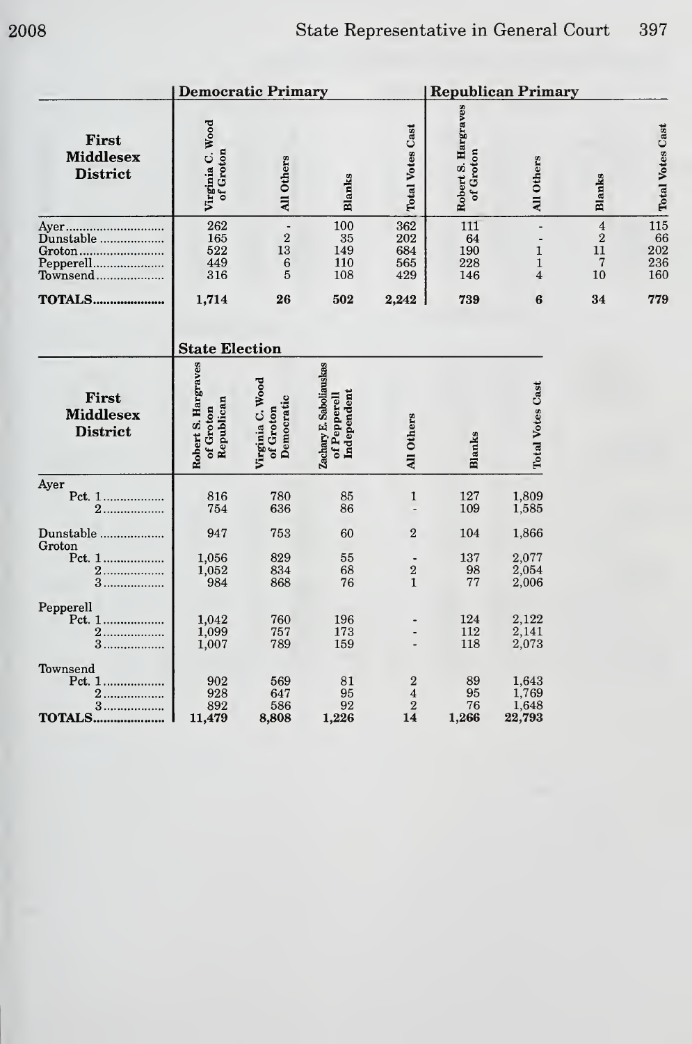|                                              |                                                | <b>Democratic Primary</b>                   |                                                        | <b>Republican Primary</b>                                   |                                  |                                                                                        |                                                            |                                       |  |
|----------------------------------------------|------------------------------------------------|---------------------------------------------|--------------------------------------------------------|-------------------------------------------------------------|----------------------------------|----------------------------------------------------------------------------------------|------------------------------------------------------------|---------------------------------------|--|
| First<br><b>Middlesex</b><br><b>District</b> | Virginia C. Wood<br>of Groton                  | All Others                                  | <b>Blanks</b>                                          | <b>Total Votes Cast</b>                                     | Robert S. Hargraves<br>of Groton | All Others                                                                             | Blanks                                                     | <b>Total Votes Cast</b>               |  |
| Groton<br>Pepperell<br>Townsend              | 262<br>165<br>522<br>449<br>316                | $\sqrt{2}$<br>13<br>6<br>$\overline{5}$     | 100<br>35<br>149<br>110<br>108                         | 362<br>202<br>684<br>565<br>429                             | 111<br>64<br>190<br>228<br>146   | $\qquad \qquad \blacksquare$<br>$\mathbf{1}$<br>$\mathbf 1$<br>$\overline{\mathbf{4}}$ | $\overline{4}$<br>$\sqrt{2}$<br>11<br>$\overline{7}$<br>10 | 115<br>66<br>$\frac{202}{236}$<br>160 |  |
| <b>TOTALS</b>                                | 1,714                                          | 26                                          | 502                                                    | 2,242                                                       | 739                              | 6                                                                                      | 34                                                         | 779                                   |  |
|                                              | <b>State Election</b>                          |                                             |                                                        |                                                             |                                  |                                                                                        |                                                            |                                       |  |
| First<br><b>Middlesex</b><br><b>District</b> | Robert S. Hargraves<br>Republican<br>of Groton | Virginia C. Wood<br>Democratic<br>of Groton | Zachary E. Saboliauskas<br>Independent<br>of Pepperell | All Others                                                  | <b>Blanks</b>                    | <b>Total Votes Cast</b>                                                                |                                                            |                                       |  |
| Ayer<br>Pct. 1<br>$2$                        | 816<br>754                                     | 780<br>636                                  | 85<br>86                                               | $\mathbf{1}$                                                | 127<br>109                       | 1,809<br>1,585                                                                         |                                                            |                                       |  |
| Dunstable                                    | 947                                            | 753                                         | 60                                                     | $\overline{2}$                                              | 104                              | 1,866                                                                                  |                                                            |                                       |  |
| Groton<br>Pct. 1<br>2<br>3                   | 1,056<br>1,052<br>984                          | 829<br>834<br>868                           | 55<br>68<br>76                                         | $\overline{\mathbf{2}}$<br>$\mathbf{1}$                     | 137<br>98<br>$7\,7$              | 2,077<br>2,054<br>2,006                                                                |                                                            |                                       |  |
| Pepperell<br>2<br>3                          | 1,042<br>1,099<br>1,007                        | 760<br>757<br>789                           | 196<br>173<br>159                                      | $\centerdot$                                                | 124<br>112<br>118                | 2,122<br>2,141<br>2,073                                                                |                                                            |                                       |  |
| Townsend<br>2<br>3<br><b>TOTALS</b>          | 902<br>928<br>892<br>11,479                    | 569<br>647<br>586<br>8,808                  | 81<br>95<br>92<br>1,226                                | $\bf{2}$<br>$\overline{\mathbf{4}}$<br>$\overline{2}$<br>14 | 89<br>95<br>76<br>1,266          | 1,643<br>1,769<br>1,648<br>22,793                                                      |                                                            |                                       |  |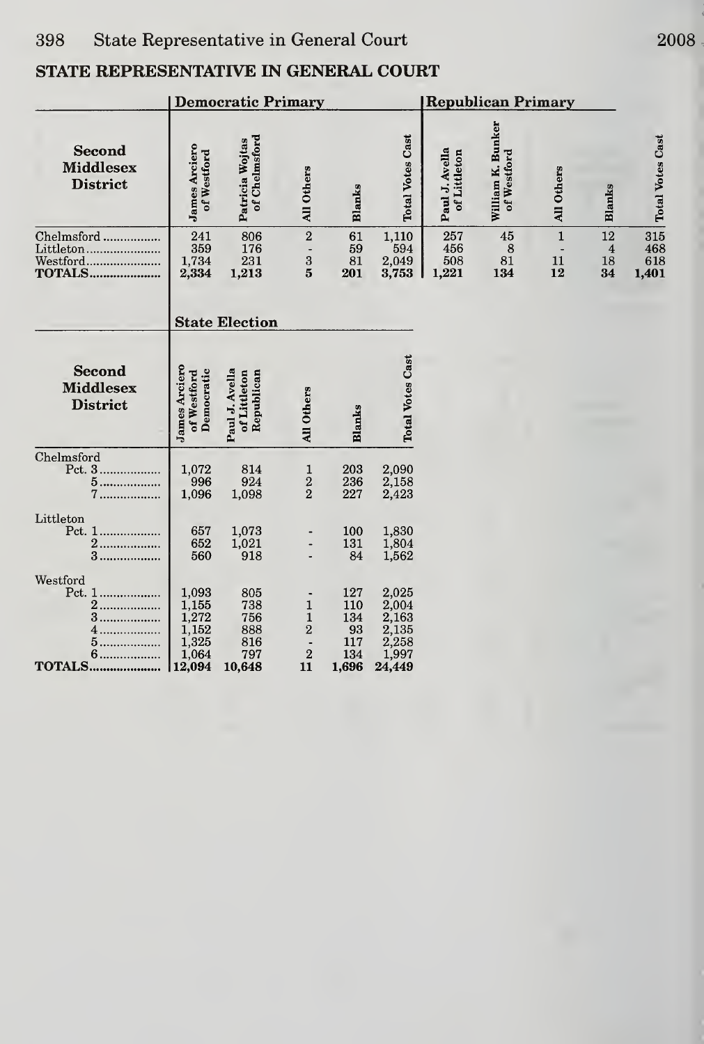|                                                       | <b>Democratic Primary</b>                                    |                                                  |                                                                                 |                                                | <b>Republican Primary</b>                                    |                                |                                  |                                            |                                    |                            |
|-------------------------------------------------------|--------------------------------------------------------------|--------------------------------------------------|---------------------------------------------------------------------------------|------------------------------------------------|--------------------------------------------------------------|--------------------------------|----------------------------------|--------------------------------------------|------------------------------------|----------------------------|
| <b>Second</b><br><b>Middlesex</b><br><b>District</b>  | <b>James Arciero</b><br>of Westford                          | of Chelmsford<br>Patricia Wojtas                 | All Others                                                                      | <b>Blanks</b>                                  | <b>Total Votes Cast</b>                                      | Paul J. Avella<br>of Littleton | William K. Bunker<br>of Westford | All Others                                 | <b>Blanks</b>                      | <b>Total Votes Cast</b>    |
| Chelmsford                                            | 241<br>359<br>1,734<br>2,334                                 | 806<br>176<br>231<br>1,213                       | $\overline{2}$<br>$\overline{\phantom{a}}$<br>$\frac{3}{5}$                     | 61<br>59<br>81<br>201                          | 1,110<br>594<br>2,049<br>3,753                               | 257<br>456<br>508<br>1,221     | 45<br>8<br>81<br>134             | $\mathbf{1}$<br>$\blacksquare$<br>11<br>12 | 12<br>$\boldsymbol{4}$<br>18<br>34 | 315<br>468<br>618<br>1,401 |
|                                                       | <b>State Election</b>                                        |                                                  |                                                                                 |                                                |                                                              |                                |                                  |                                            |                                    |                            |
| <b>Second</b><br><b>Middlesex</b><br><b>District</b>  | <b>James Arciero</b><br>Democratic<br>of Westford            | Paul J. Avella<br>of Littleton<br>Republican     | All Others                                                                      | <b>Blanks</b>                                  | <b>Total Votes Cast</b>                                      |                                |                                  |                                            |                                    |                            |
| Chelmsford<br>Pct. 3<br>5<br>$7$                      | $\begin{array}{c} 1,072 \\ 996 \end{array}$<br>1,096         | 814<br>924<br>1,098                              | $\mathbf{1}$<br>$\frac{2}{2}$                                                   | 203<br>236<br>227                              | 2,090<br>2,158<br>2,423                                      |                                |                                  |                                            |                                    |                            |
| Littleton<br>Pct. 1<br>2<br>.<br>3                    | 657<br>652<br>560                                            | 1,073<br>1,021<br>918                            |                                                                                 | 100<br>131<br>84                               | 1,830<br>1,804<br>1,562                                      |                                |                                  |                                            |                                    |                            |
| Westford<br>2<br>3<br>4.<br>5.<br>6.<br><b>TOTALS</b> | 1,093<br>1,155<br>1,272<br>1,152<br>1,325<br>1,064<br>12,094 | 805<br>738<br>756<br>888<br>816<br>797<br>10,648 | $\mathbf 1$<br>$\mathbf 1$<br>$\overline{2}$<br>$\overline{a}$<br>$\bf 2$<br>11 | 127<br>110<br>134<br>93<br>117<br>134<br>1,696 | 2,025<br>2,004<br>2,163<br>2,135<br>2,258<br>1,997<br>24,449 |                                |                                  |                                            |                                    |                            |